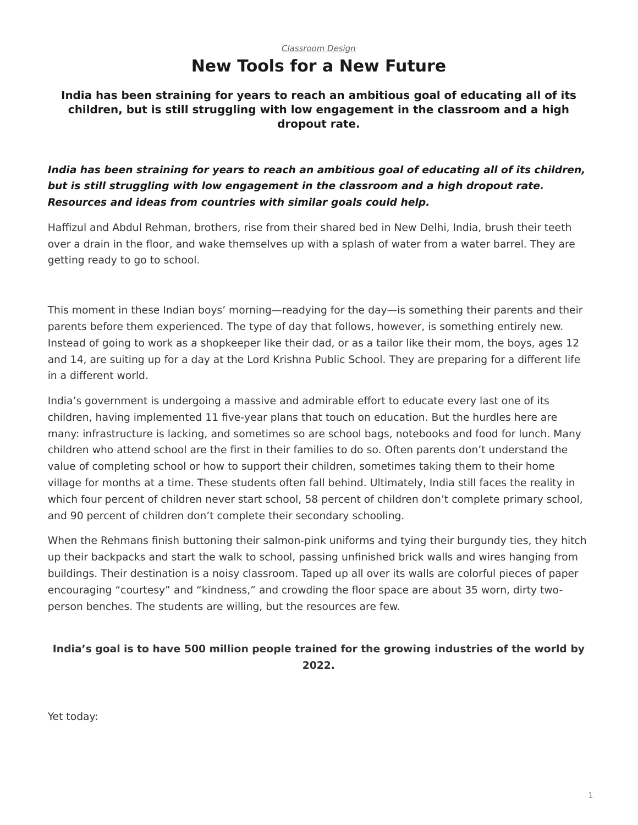#### *[Classroom Design](https://www.steelcase.com/research/topics/classroom-design/)* **New Tools for a New Future**

<span id="page-0-0"></span>**India has been straining for years to reach an ambitious goal of educating all of its children, but is still struggling with low engagement in the classroom and a high dropout rate.**

*India has been straining for years to reach an ambitious goal of educating all of its children, but is still struggling with low engagement in the classroom and a high dropout rate. Resources and ideas from countries with similar goals could help.*

Haffizul and Abdul Rehman, brothers, rise from their shared bed in New Delhi, India, brush their teeth over a drain in the floor, and wake themselves up with a splash of water from a water barrel. They are getting ready to go to school.

This moment in these Indian boys' morning—readying for the day—is something their parents and their parents before them experienced. The type of day that follows, however, is something entirely new. Instead of going to work as a shopkeeper like their dad, or as a tailor like their mom, the boys, ages 12 and 14, are suiting up for a day at the Lord Krishna Public School. They are preparing for a different life in a different world.

India's government is undergoing a massive and admirable effort to educate every last one of its children, having implemented 11 five-year plans that touch on education. But the hurdles here are many: infrastructure is lacking, and sometimes so are school bags, notebooks and food for lunch. Many children who attend school are the first in their families to do so. Often parents don't understand the value of completing school or how to support their children, sometimes taking them to their home village for months at a time. These students often fall behind. Ultimately, India still faces the reality in which four percent of children never start school, 58 percent of children don't complete primary school, and 90 percent of children don't complete their secondary schooling.

When the Rehmans finish buttoning their salmon-pink uniforms and tying their burgundy ties, they hitch up their backpacks and start the walk to school, passing unfinished brick walls and wires hanging from buildings. Their destination is a noisy classroom. Taped up all over its walls are colorful pieces of paper encouraging "courtesy" and "kindness," and crowding the floor space are about 35 worn, dirty twoperson benches. The students are willing, but the resources are few.

#### **India's goal is to have 500 million people trained for the growing industries of the world by 2022.**

Yet today: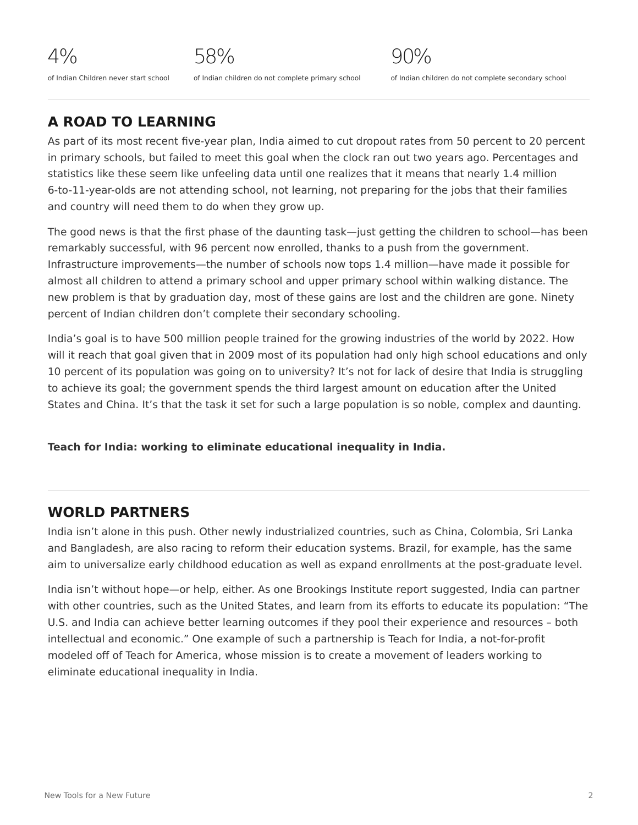# **A ROAD TO LEARNING**

As part of its most recent five-year plan, India aimed to cut dropout rates from 50 percent to 20 percent in primary schools, but failed to meet this goal when the clock ran out two years ago. Percentages and statistics like these seem like unfeeling data until one realizes that it means that nearly 1.4 million 6-to-11-year-olds are not attending school, not learning, not preparing for the jobs that their families and country will need them to do when they grow up.

The good news is that the first phase of the daunting task—just getting the children to school—has been remarkably successful, with 96 percent now enrolled, thanks to a push from the government. Infrastructure improvements—the number of schools now tops 1.4 million—have made it possible for almost all children to attend a primary school and upper primary school within walking distance. The new problem is that by graduation day, most of these gains are lost and the children are gone. Ninety percent of Indian children don't complete their secondary schooling.

India's goal is to have 500 million people trained for the growing industries of the world by 2022. How will it reach that goal given that in 2009 most of its population had only high school educations and only 10 percent of its population was going on to university? It's not for lack of desire that India is struggling to achieve its goal; the government spends the third largest amount on education after the United States and China. It's that the task it set for such a large population is so noble, complex and daunting.

**Teach for India: working to eliminate educational inequality in India.**

# **WORLD PARTNERS**

India isn't alone in this push. Other newly industrialized countries, such as China, Colombia, Sri Lanka and Bangladesh, are also racing to reform their education systems. Brazil, for example, has the same aim to universalize early childhood education as well as expand enrollments at the post-graduate level.

India isn't without hope—or help, either. As one Brookings Institute report suggested, India can partner with other countries, such as the United States, and learn from its efforts to educate its population: "The U.S. and India can achieve better learning outcomes if they pool their experience and resources – both intellectual and economic." One example of such a partnership is Teach for India, a not-for-profit modeled off of Teach for America, whose mission is to create a movement of leaders working to eliminate educational inequality in India.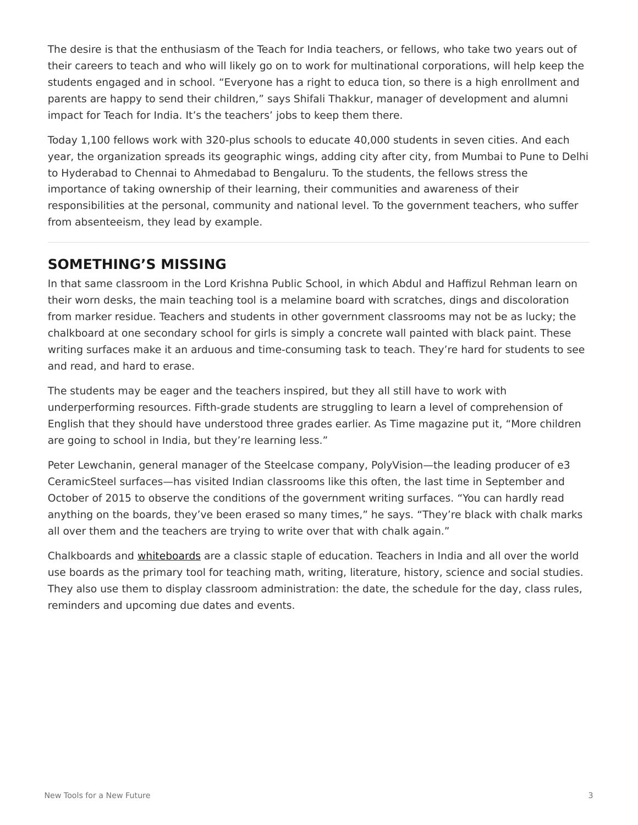The desire is that the enthusiasm of the Teach for India teachers, or fellows, who take two years out of their careers to teach and who will likely go on to work for multinational corporations, will help keep the students engaged and in school. "Everyone has a right to educa tion, so there is a high enrollment and parents are happy to send their children," says Shifali Thakkur, manager of development and alumni impact for Teach for India. It's the teachers' jobs to keep them there.

Today 1,100 fellows work with 320-plus schools to educate 40,000 students in seven cities. And each year, the organization spreads its geographic wings, adding city after city, from Mumbai to Pune to Delhi to Hyderabad to Chennai to Ahmedabad to Bengaluru. To the students, the fellows stress the importance of taking ownership of their learning, their communities and awareness of their responsibilities at the personal, community and national level. To the government teachers, who suffer from absenteeism, they lead by example.

# **SOMETHING'S MISSING**

In that same classroom in the Lord Krishna Public School, in which Abdul and Haffizul Rehman learn on their worn desks, the main teaching tool is a melamine board with scratches, dings and discoloration from marker residue. Teachers and students in other government classrooms may not be as lucky; the chalkboard at one secondary school for girls is simply a concrete wall painted with black paint. These writing surfaces make it an arduous and time-consuming task to teach. They're hard for students to see and read, and hard to erase.

The students may be eager and the teachers inspired, but they all still have to work with underperforming resources. Fifth-grade students are struggling to learn a level of comprehension of English that they should have understood three grades earlier. As Time magazine put it, "More children are going to school in India, but they're learning less."

Peter Lewchanin, general manager of the Steelcase company, PolyVision—the leading producer of e3 CeramicSteel surfaces—has visited Indian classrooms like this often, the last time in September and October of 2015 to observe the conditions of the government writing surfaces. "You can hardly read anything on the boards, they've been erased so many times," he says. "They're black with chalk marks all over them and the teachers are trying to write over that with chalk again."

Chalkboards and [whiteboards](https://www.steelcase.com/products/whiteboards/) are a classic staple of education. Teachers in India and all over the world use boards as the primary tool for teaching math, writing, literature, history, science and social studies. They also use them to display classroom administration: the date, the schedule for the day, class rules, reminders and upcoming due dates and events.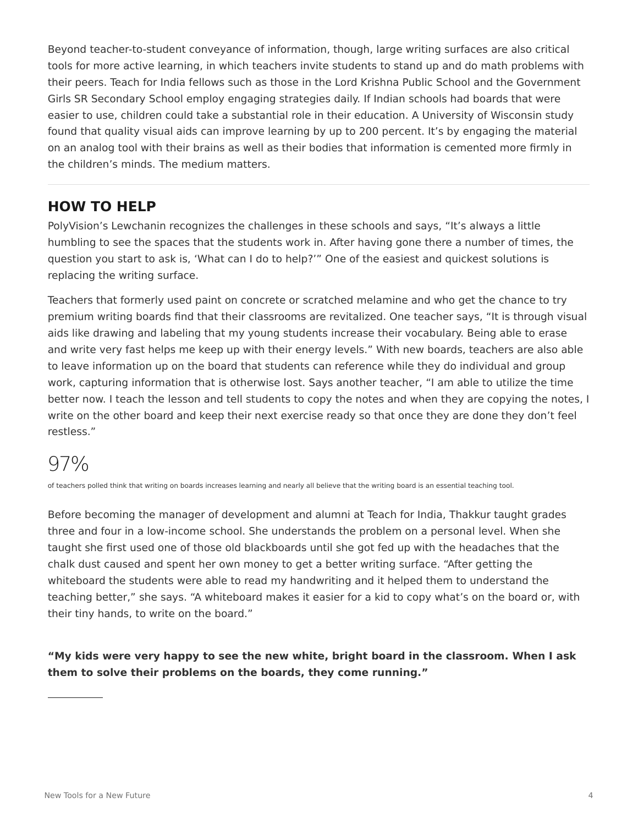Beyond teacher-to-student conveyance of information, though, large writing surfaces are also critical tools for more active learning, in which teachers invite students to stand up and do math problems with their peers. Teach for India fellows such as those in the Lord Krishna Public School and the Government Girls SR Secondary School employ engaging strategies daily. If Indian schools had boards that were easier to use, children could take a substantial role in their education. A University of Wisconsin study found that quality visual aids can improve learning by up to 200 percent. It's by engaging the material on an analog tool with their brains as well as their bodies that information is cemented more firmly in the children's minds. The medium matters.

# **HOW TO HELP**

PolyVision's Lewchanin recognizes the challenges in these schools and says, "It's always a little humbling to see the spaces that the students work in. After having gone there a number of times, the question you start to ask is, 'What can I do to help?'" One of the easiest and quickest solutions is replacing the writing surface.

Teachers that formerly used paint on concrete or scratched melamine and who get the chance to try premium writing boards find that their classrooms are revitalized. One teacher says, "It is through visual aids like drawing and labeling that my young students increase their vocabulary. Being able to erase and write very fast helps me keep up with their energy levels." With new boards, teachers are also able to leave information up on the board that students can reference while they do individual and group work, capturing information that is otherwise lost. Says another teacher, "I am able to utilize the time better now. I teach the lesson and tell students to copy the notes and when they are copying the notes, I write on the other board and keep their next exercise ready so that once they are done they don't feel restless."

# 97%

of teachers polled think that writing on boards increases learning and nearly all believe that the writing board is an essential teaching tool.

Before becoming the manager of development and alumni at Teach for India, Thakkur taught grades three and four in a low-income school. She understands the problem on a personal level. When she taught she first used one of those old blackboards until she got fed up with the headaches that the chalk dust caused and spent her own money to get a better writing surface. "After getting the whiteboard the students were able to read my handwriting and it helped them to understand the teaching better," she says. "A whiteboard makes it easier for a kid to copy what's on the board or, with their tiny hands, to write on the board."

**"My kids were very happy to see the new white, bright board in the classroom. When I ask them to solve their problems on the boards, they come running."**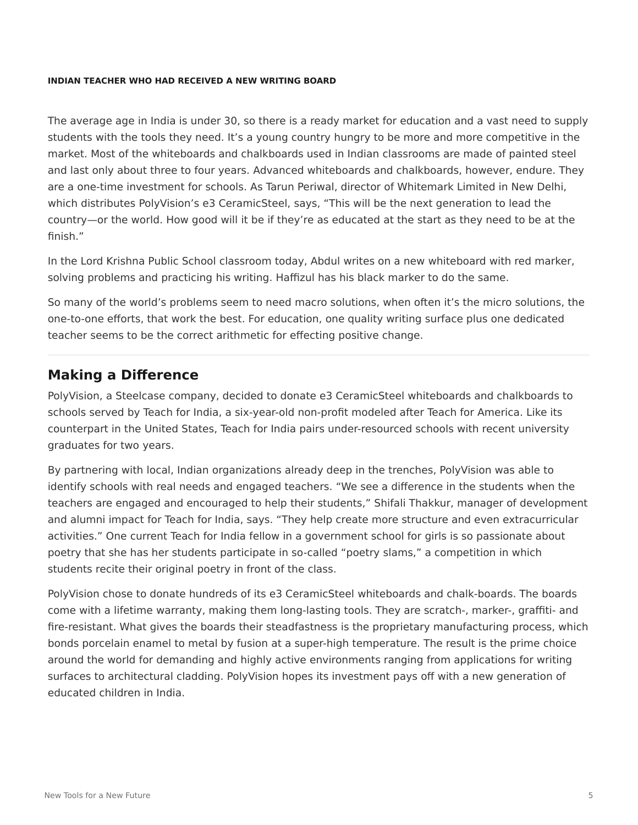#### **INDIAN TEACHER WHO HAD RECEIVED A NEW WRITING BOARD**

The average age in India is under 30, so there is a ready market for education and a vast need to supply students with the tools they need. It's a young country hungry to be more and more competitive in the market. Most of the whiteboards and chalkboards used in Indian classrooms are made of painted steel and last only about three to four years. Advanced whiteboards and chalkboards, however, endure. They are a one-time investment for schools. As Tarun Periwal, director of Whitemark Limited in New Delhi, which distributes PolyVision's e3 CeramicSteel, says, "This will be the next generation to lead the country—or the world. How good will it be if they're as educated at the start as they need to be at the finish."

In the Lord Krishna Public School classroom today, Abdul writes on a new whiteboard with red marker, solving problems and practicing his writing. Haffizul has his black marker to do the same.

So many of the world's problems seem to need macro solutions, when often it's the micro solutions, the one-to-one efforts, that work the best. For education, one quality writing surface plus one dedicated teacher seems to be the correct arithmetic for effecting positive change.

### **Making a Difference**

PolyVision, a Steelcase company, decided to donate e3 CeramicSteel whiteboards and chalkboards to schools served by Teach for India, a six-year-old non-profit modeled after Teach for America. Like its counterpart in the United States, Teach for India pairs under-resourced schools with recent university graduates for two years.

By partnering with local, Indian organizations already deep in the trenches, PolyVision was able to identify schools with real needs and engaged teachers. "We see a difference in the students when the teachers are engaged and encouraged to help their students," Shifali Thakkur, manager of development and alumni impact for Teach for India, says. "They help create more structure and even extracurricular activities." One current Teach for India fellow in a government school for girls is so passionate about poetry that she has her students participate in so-called "poetry slams," a competition in which students recite their original poetry in front of the class.

PolyVision chose to donate hundreds of its e3 CeramicSteel whiteboards and chalk-boards. The boards come with a lifetime warranty, making them long-lasting tools. They are scratch-, marker-, graffiti- and fire-resistant. What gives the boards their steadfastness is the proprietary manufacturing process, which bonds porcelain enamel to metal by fusion at a super-high temperature. The result is the prime choice around the world for demanding and highly active environments ranging from applications for writing surfaces to architectural cladding. PolyVision hopes its investment pays off with a new generation of educated children in India.